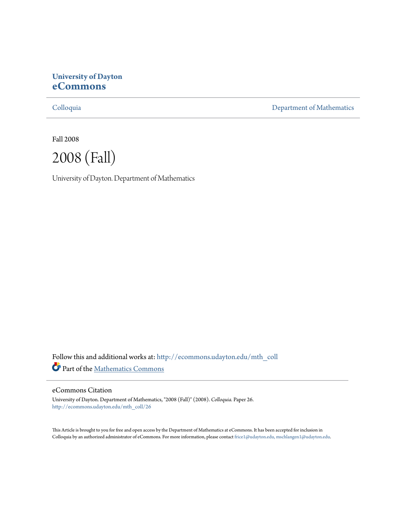# **University of Dayton [eCommons](http://ecommons.udayton.edu?utm_source=ecommons.udayton.edu%2Fmth_coll%2F26&utm_medium=PDF&utm_campaign=PDFCoverPages)**

[Colloquia](http://ecommons.udayton.edu/mth_coll?utm_source=ecommons.udayton.edu%2Fmth_coll%2F26&utm_medium=PDF&utm_campaign=PDFCoverPages) [Department of Mathematics](http://ecommons.udayton.edu/mth?utm_source=ecommons.udayton.edu%2Fmth_coll%2F26&utm_medium=PDF&utm_campaign=PDFCoverPages)

Fall 2008



University of Dayton. Department of Mathematics

Follow this and additional works at: [http://ecommons.udayton.edu/mth\\_coll](http://ecommons.udayton.edu/mth_coll?utm_source=ecommons.udayton.edu%2Fmth_coll%2F26&utm_medium=PDF&utm_campaign=PDFCoverPages) Part of the [Mathematics Commons](http://network.bepress.com/hgg/discipline/174?utm_source=ecommons.udayton.edu%2Fmth_coll%2F26&utm_medium=PDF&utm_campaign=PDFCoverPages)

#### eCommons Citation

University of Dayton. Department of Mathematics, "2008 (Fall)" (2008). *Colloquia.* Paper 26. [http://ecommons.udayton.edu/mth\\_coll/26](http://ecommons.udayton.edu/mth_coll/26?utm_source=ecommons.udayton.edu%2Fmth_coll%2F26&utm_medium=PDF&utm_campaign=PDFCoverPages)

This Article is brought to you for free and open access by the Department of Mathematics at eCommons. It has been accepted for inclusion in Colloquia by an authorized administrator of eCommons. For more information, please contact [frice1@udayton.edu, mschlangen1@udayton.edu.](mailto:frice1@udayton.edu,%20mschlangen1@udayton.edu)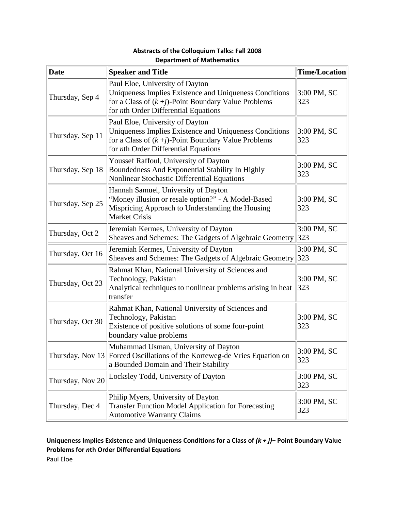| Date             | <b>Speaker and Title</b>                                                                                                                                                                            | <b>Time/Location</b> |
|------------------|-----------------------------------------------------------------------------------------------------------------------------------------------------------------------------------------------------|----------------------|
| Thursday, Sep 4  | Paul Eloe, University of Dayton<br>Uniqueness Implies Existence and Uniqueness Conditions<br>for a Class of $(k + j)$ -Point Boundary Value Problems<br>for <i>nth</i> Order Differential Equations | $3:00$ PM, SC<br>323 |
| Thursday, Sep 11 | Paul Eloe, University of Dayton<br>Uniqueness Implies Existence and Uniqueness Conditions<br>for a Class of $(k + j)$ -Point Boundary Value Problems<br>for <i>nth</i> Order Differential Equations | $3:00$ PM, SC<br>323 |
| Thursday, Sep 18 | Youssef Raffoul, University of Dayton<br>Boundedness And Exponential Stability In Highly<br>Nonlinear Stochastic Differential Equations                                                             | 3:00 PM, SC<br>323   |
| Thursday, Sep 25 | Hannah Samuel, University of Dayton<br>"Money illusion or resale option?" - A Model-Based<br>Mispricing Approach to Understanding the Housing<br><b>Market Crisis</b>                               | $3:00$ PM, SC<br>323 |
| Thursday, Oct 2  | Jeremiah Kermes, University of Dayton<br>Sheaves and Schemes: The Gadgets of Algebraic Geometry 323                                                                                                 | $3:00$ PM, SC        |
| Thursday, Oct 16 | Jeremiah Kermes, University of Dayton<br>Sheaves and Schemes: The Gadgets of Algebraic Geometry 323                                                                                                 | 3:00 PM, SC          |
| Thursday, Oct 23 | Rahmat Khan, National University of Sciences and<br>Technology, Pakistan<br>Analytical techniques to nonlinear problems arising in heat<br>transfer                                                 | $3:00$ PM, SC<br>323 |
| Thursday, Oct 30 | Rahmat Khan, National University of Sciences and<br>Technology, Pakistan<br>Existence of positive solutions of some four-point<br>boundary value problems                                           | $3:00$ PM, SC<br>323 |
|                  | Muhammad Usman, University of Dayton<br>Thursday, Nov 13 Forced Oscillations of the Korteweg-de Vries Equation on<br>a Bounded Domain and Their Stability                                           | 3:00 PM, SC<br>323   |
| Thursday, Nov 20 | Locksley Todd, University of Dayton                                                                                                                                                                 | 3:00 PM, SC<br>323   |
| Thursday, Dec 4  | Philip Myers, University of Dayton<br><b>Transfer Function Model Application for Forecasting</b><br><b>Automotive Warranty Claims</b>                                                               | 3:00 PM, SC<br>323   |

## **Abstracts of the Colloquium Talks: Fall 2008 Department of Mathematics**

## **Uniqueness Implies Existence and Uniqueness Conditions for a Class of** *(k + j)−* **Point Boundary Value Problems for** *n***th Order Differential Equations** Paul Eloe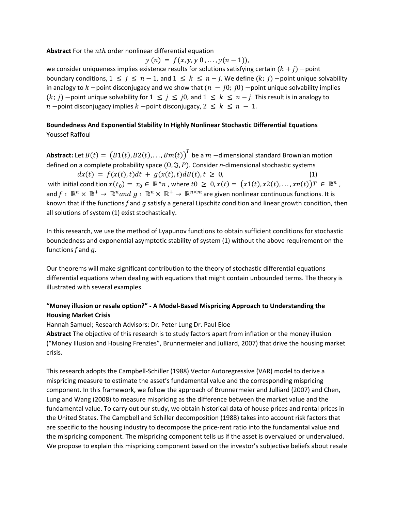**Abstract** For the *nth* order nonlinear differential equation

 $y(n) = f(x, y, y, 0, \ldots, y(n-1)),$ 

we consider uniqueness implies existence results for solutions satisfying certain  $(k + j)$  -point boundary conditions,  $1 \leq j \leq n-1$ , and  $1 \leq k \leq n-j$ . We define  $(k; j)$  -point unique solvability in analogy to  $k$  -point disconjugacy and we show that  $(n - j0; j0)$  -point unique solvability implies  $(k; j)$  -point unique solvability for  $1 \leq j \leq j0$ , and  $1 \leq k \leq n-j$ . This result is in analogy to  $n$  –point disconjugacy implies  $k$  –point disconjugacy,  $2 \leq k \leq n - 1$ .

### **Boundedness And Exponential Stability In Highly Nonlinear Stochastic Differential Equations** Youssef Raffoul

**Abstract:** Let  $B(t) = (B1(t), B2(t), \ldots, Bm(t))^T$  be a  $m$  -dimensional standard Brownian motion defined on a complete probability space  $(Ω, Σ, P)$ . Consider *n*-dimensional stochastic systems

 $dx(t) = f(x(t), t)dt + g(x(t), t)dB(t), t \geq 0,$  (1) with initial condition  $x(t_0) = x_0 \in \mathbb{R}^n n$ , where  $t_0 \geq 0$ ,  $x(t) = (x_1(t), x_2(t), \ldots, x_n(t))T \in \mathbb{R}^n$ , and  $f: \mathbb{R}^n \times \mathbb{R}^+ \to \mathbb{R}^n$  and  $g: \mathbb{R}^n \times \mathbb{R}^+ \to \mathbb{R}^{n \times m}$  are given nonlinear continuous functions. It is known that if the functions *f* and *g* satisfy a general Lipschitz condition and linear growth condition, then all solutions of system (1) exist stochastically.

In this research, we use the method of Lyapunov functions to obtain sufficient conditions for stochastic boundedness and exponential asymptotic stability of system (1) without the above requirement on the functions *f* and *g*.

Our theorems will make significant contribution to the theory of stochastic differential equations differential equations when dealing with equations that might contain unbounded terms. The theory is illustrated with several examples.

### **"Money illusion or resale option?" ‐ A Model‐Based Mispricing Approach to Understanding the Housing Market Crisis**

Hannah Samuel; Research Advisors: Dr. Peter Lung Dr. Paul Eloe

**Abstract** The objective of this research is to study factors apart from inflation or the money illusion ("Money Illusion and Housing Frenzies", Brunnermeier and Julliard, 2007) that drive the housing market crisis.

This research adopts the Campbell‐Schiller (1988) Vector Autoregressive (VAR) model to derive a mispricing measure to estimate the asset's fundamental value and the corresponding mispricing component. In this framework, we follow the approach of Brunnermeier and Julliard (2007) and Chen, Lung and Wang (2008) to measure mispricing as the difference between the market value and the fundamental value. To carry out our study, we obtain historical data of house prices and rental prices in the United States. The Campbell and Schiller decomposition (1988) takes into account risk factors that are specific to the housing industry to decompose the price-rent ratio into the fundamental value and the mispricing component. The mispricing component tells us if the asset is overvalued or undervalued. We propose to explain this mispricing component based on the investor's subjective beliefs about resale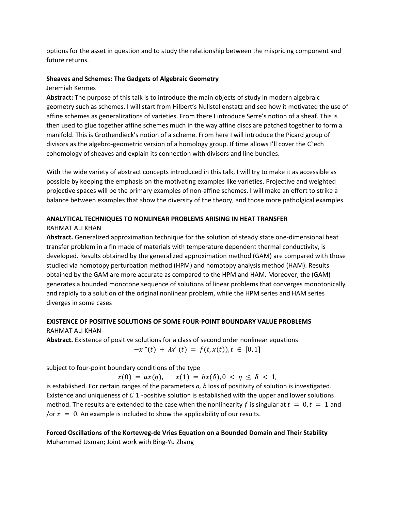options for the asset in question and to study the relationship between the mispricing component and future returns.

### **Sheaves and Schemes: The Gadgets of Algebraic Geometry**

#### Jeremiah Kermes

**Abstract:** The purpose of this talk is to introduce the main objects of study in modern algebraic geometry such as schemes. I will start from Hilbert's Nullstellenstatz and see how it motivated the use of affine schemes as generalizations of varieties. From there I introduce Serre's notion of a sheaf. This is then used to glue together affine schemes much in the way affine discs are patched together to form a manifold. This is Grothendieck's notion of a scheme. From here I will introduce the Picard group of divisors as the algebro‐geometric version of a homology group. If time allows I'll cover the C˘ech cohomology of sheaves and explain its connection with divisors and line bundles.

With the wide variety of abstract concepts introduced in this talk, I will try to make it as accessible as possible by keeping the emphasis on the motivating examples like varieties. Projective and weighted projective spaces will be the primary examples of non‐affine schemes. I will make an effort to strike a balance between examples that show the diversity of the theory, and those more patholgical examples.

### **ANALYTICAL TECHNIQUES TO NONLINEAR PROBLEMS ARISING IN HEAT TRANSFER**

### RAHMAT ALI KHAN

**Abstract.** Generalized approximation technique for the solution of steady state one‐dimensional heat transfer problem in a fin made of materials with temperature dependent thermal conductivity, is developed. Results obtained by the generalized approximation method (GAM) are compared with those studied via homotopy perturbation method (HPM) and homotopy analysis method (HAM). Results obtained by the GAM are more accurate as compared to the HPM and HAM. Moreover, the (GAM) generates a bounded monotone sequence of solutions of linear problems that converges monotonically and rapidly to a solution of the original nonlinear problem, while the HPM series and HAM series diverges in some cases

### **EXISTENCE OF POSITIVE SOLUTIONS OF SOME FOUR‐POINT BOUNDARY VALUE PROBLEMS**

## RAHMAT ALI KHAN **Abstract.** Existence of positive solutions for a class of second order nonlinear equations  $-x''(t) + \lambda x'(t) = f(t, x(t)), t \in [0, 1]$

subject to four‐point boundary conditions of the type

 $x(0) = ax(\eta), \quad x(1) = bx(\delta), 0 < \eta \leq \delta < 1,$ 

is established. For certain ranges of the parameters *a, b* loss of positivity of solution is investigated. Existence and uniqueness of C 1 -positive solution is established with the upper and lower solutions method. The results are extended to the case when the nonlinearity f is singular at  $t = 0, t = 1$  and /or  $x = 0$ . An example is included to show the applicability of our results.

### **Forced Oscillations of the Korteweg‐de Vries Equation on a Bounded Domain and Their Stability** Muhammad Usman; Joint work with Bing‐Yu Zhang